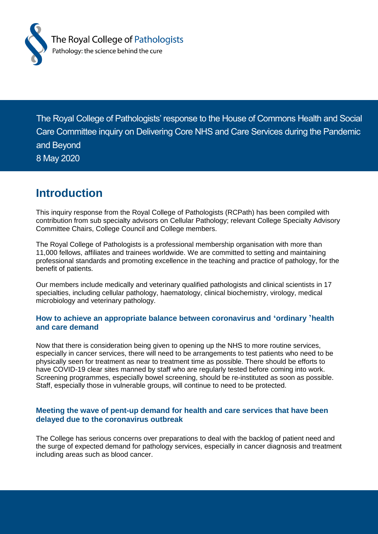

The Royal College of Pathologists' response to the House of Commons Health and Social Care Committee inquiry on Delivering Core NHS and Care Services during the Pandemic and Beyond 8 May 2020

## **Introduction**

This inquiry response from the Royal College of Pathologists (RCPath) has been compiled with contribution from sub specialty advisors on Cellular Pathology; relevant College Specialty Advisory Committee Chairs, College Council and College members.

The Royal College of Pathologists is a professional membership organisation with more than 11,000 fellows, affiliates and trainees worldwide. We are committed to setting and maintaining professional standards and promoting excellence in the teaching and practice of pathology, for the benefit of patients.

Our members include medically and veterinary qualified pathologists and clinical scientists in 17 specialties, including cellular pathology, haematology, clinical biochemistry, virology, medical microbiology and veterinary pathology.

#### **How to achieve an appropriate balance between coronavirus and 'ordinary 'health and care demand**

Now that there is consideration being given to opening up the NHS to more routine services, especially in cancer services, there will need to be arrangements to test patients who need to be physically seen for treatment as near to treatment time as possible. There should be efforts to have COVID-19 clear sites manned by staff who are regularly tested before coming into work. Screening programmes, especially bowel screening, should be re-instituted as soon as possible. Staff, especially those in vulnerable groups, will continue to need to be protected.

#### **Meeting the wave of pent-up demand for health and care services that have been delayed due to the coronavirus outbreak**

The College has serious concerns over preparations to deal with the backlog of patient need and the surge of expected demand for pathology services, especially in cancer diagnosis and treatment including areas such as blood cancer.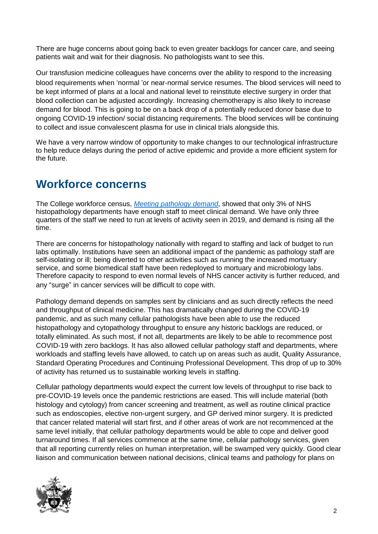There are huge concerns about going back to even greater backlogs for cancer care, and seeing patients wait and wait for their diagnosis. No pathologists want to see this.

Our transfusion medicine colleagues have concerns over the ability to respond to the increasing blood requirements when 'normal 'or near-normal service resumes. The blood services will need to be kept informed of plans at a local and national level to reinstitute elective surgery in order that blood collection can be adjusted accordingly. Increasing chemotherapy is also likely to increase demand for blood. This is going to be on a back drop of a potentially reduced donor base due to ongoing COVID-19 infection/ social distancing requirements. The blood services will be continuing to collect and issue convalescent plasma for use in clinical trials alongside this.

We have a very narrow window of opportunity to make changes to our technological infrastructure to help reduce delays during the period of active epidemic and provide a more efficient system for the future.

## **Workforce concerns**

The College workforce census, *Meeting [pathology](https://www.rcpath.org/uploads/assets/uploaded/aff26c51-8b62-463f-98625b1d3f6174b6.pdf) demand*, showed that only 3% of NHS histopathology departments have enough staff to meet clinical demand. We have only three quarters of the staff we need to run at levels of activity seen in 2019, and demand is rising all the time.

There are concerns for histopathology nationally with regard to staffing and lack of budget to run labs optimally. Institutions have seen an additional impact of the pandemic as pathology staff are self-isolating or ill; being diverted to other activities such as running the increased mortuary service, and some biomedical staff have been redeployed to mortuary and microbiology labs. Therefore capacity to respond to even normal levels of NHS cancer activity is further reduced, and any "surge" in cancer services will be difficult to cope with.

Pathology demand depends on samples sent by clinicians and as such directly reflects the need and throughput of clinical medicine. This has dramatically changed during the COVID-19 pandemic, and as such many cellular pathologists have been able to use the reduced histopathology and cytopathology throughput to ensure any historic backlogs are reduced, or totally eliminated. As such most, if not all, departments are likely to be able to recommence post COVID-19 with zero backlogs. It has also allowed cellular pathology staff and departments, where workloads and staffing levels have allowed, to catch up on areas such as audit, Quality Assurance, Standard Operating Procedures and Continuing Professional Development. This drop of up to 30% of activity has returned us to sustainable working levels in staffing.

Cellular pathology departments would expect the current low levels of throughput to rise back to pre-COVID-19 levels once the pandemic restrictions are eased. This will include material (both histology and cytology) from cancer screening and treatment, as well as routine clinical practice such as endoscopies, elective non-urgent surgery, and GP derived minor surgery. It is predicted that cancer related material will start first, and if other areas of work are not recommenced at the same level initially, that cellular pathology departments would be able to cope and deliver good turnaround times. If all services commence at the same time, cellular pathology services, given that all reporting currently relies on human interpretation, will be swamped very quickly. Good clear liaison and communication between national decisions, clinical teams and pathology for plans on

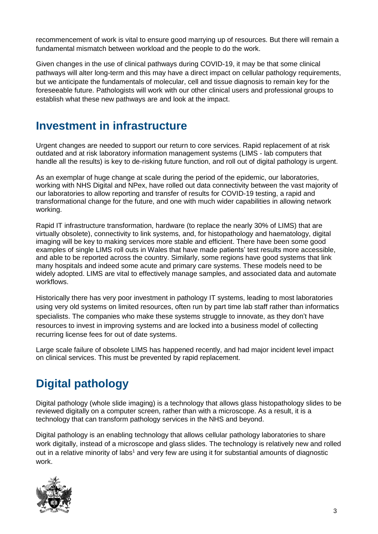recommencement of work is vital to ensure good marrying up of resources. But there will remain a fundamental mismatch between workload and the people to do the work.

Given changes in the use of clinical pathways during COVID-19, it may be that some clinical pathways will alter long-term and this may have a direct impact on cellular pathology requirements, but we anticipate the fundamentals of molecular, cell and tissue diagnosis to remain key for the foreseeable future. Pathologists will work with our other clinical users and professional groups to establish what these new pathways are and look at the impact.

## **Investment in infrastructure**

Urgent changes are needed to support our return to core services. Rapid replacement of at risk outdated and at risk laboratory information management systems (LIMS - lab computers that handle all the results) is key to de-risking future function, and roll out of digital pathology is urgent.

As an exemplar of huge change at scale during the period of the epidemic, our laboratories, working with NHS Digital and NPex, have rolled out data connectivity between the vast majority of our laboratories to allow reporting and transfer of results for COVID-19 testing, a rapid and transformational change for the future, and one with much wider capabilities in allowing network working.

Rapid IT infrastructure transformation, hardware (to replace the nearly 30% of LIMS) that are virtually obsolete), connectivity to link systems, and, for histopathology and haematology, digital imaging will be key to making services more stable and efficient. There have been some good examples of single LIMS roll outs in Wales that have made patients' test results more accessible, and able to be reported across the country. Similarly, some regions have good systems that link many hospitals and indeed some acute and primary care systems. These models need to be widely adopted. LIMS are vital to effectively manage samples, and associated data and automate workflows.

Historically there has very poor investment in pathology IT systems, leading to most laboratories using very old systems on limited resources, often run by part time lab staff rather than informatics specialists. The companies who make these systems struggle to innovate, as they don't have resources to invest in improving systems and are locked into a business model of collecting recurring license fees for out of date systems.

Large scale failure of obsolete LIMS has happened recently, and had major incident level impact on clinical services. This must be prevented by rapid replacement.

# **Digital pathology**

Digital pathology (whole slide imaging) is a technology that allows glass histopathology slides to be reviewed digitally on a computer screen, rather than with a microscope. As a result, it is a technology that can transform pathology services in the NHS and beyond.

Digital pathology is an enabling technology that allows cellular pathology laboratories to share work digitally, instead of a microscope and glass slides. The technology is relatively new and rolled out in a relative minority of labs<sup>1</sup> and very few are using it for substantial amounts of diagnostic work.

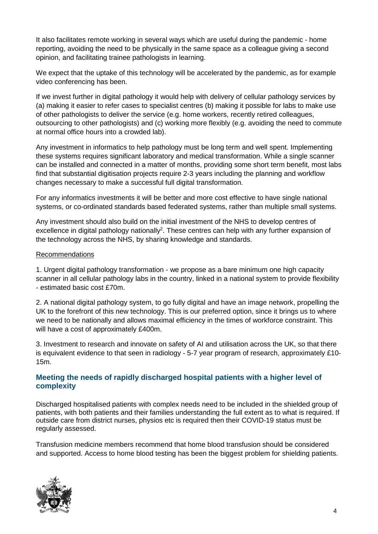It also facilitates remote working in several ways which are useful during the pandemic - home reporting, avoiding the need to be physically in the same space as a colleague giving a second opinion, and facilitating trainee pathologists in learning.

We expect that the uptake of this technology will be accelerated by the pandemic, as for example video conferencing has been.

If we invest further in digital pathology it would help with delivery of cellular pathology services by (a) making it easier to refer cases to specialist centres (b) making it possible for labs to make use of other pathologists to deliver the service (e.g. home workers, recently retired colleagues, outsourcing to other pathologists) and (c) working more flexibly (e.g. avoiding the need to commute at normal office hours into a crowded lab).

Any investment in informatics to help pathology must be long term and well spent. Implementing these systems requires significant laboratory and medical transformation. While a single scanner can be installed and connected in a matter of months, providing some short term benefit, most labs find that substantial digitisation projects require 2-3 years including the planning and workflow changes necessary to make a successful full digital transformation.

For any informatics investments it will be better and more cost effective to have single national systems, or co-ordinated standards based federated systems, rather than multiple small systems.

Any investment should also build on the initial investment of the NHS to develop centres of excellence in digital pathology nationally<sup>2</sup>. These centres can help with any further expansion of the technology across the NHS, by sharing knowledge and standards.

#### Recommendations

1. Urgent digital pathology transformation - we propose as a bare minimum one high capacity scanner in all cellular pathology labs in the country, linked in a national system to provide flexibility - estimated basic cost £70m.

2. A national digital pathology system, to go fully digital and have an image network, propelling the UK to the forefront of this new technology. This is our preferred option, since it brings us to where we need to be nationally and allows maximal efficiency in the times of workforce constraint. This will have a cost of approximately £400m.

3. Investment to research and innovate on safety of AI and utilisation across the UK, so that there is equivalent evidence to that seen in radiology - 5-7 year program of research, approximately £10- 15m.

#### **Meeting the needs of rapidly discharged hospital patients with a higher level of complexity**

Discharged hospitalised patients with complex needs need to be included in the shielded group of patients, with both patients and their families understanding the full extent as to what is required. If outside care from district nurses, physios etc is required then their COVID-19 status must be regularly assessed.

Transfusion medicine members recommend that home blood transfusion should be considered and supported. Access to home blood testing has been the biggest problem for shielding patients.

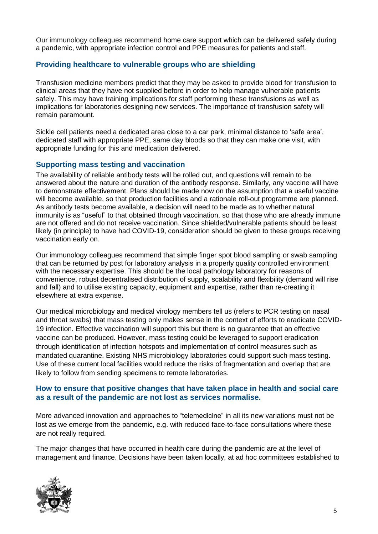Our immunology colleagues recommend home care support which can be delivered safely during a pandemic, with appropriate infection control and PPE measures for patients and staff.

#### **Providing healthcare to vulnerable groups who are shielding**

Transfusion medicine members predict that they may be asked to provide blood for transfusion to clinical areas that they have not supplied before in order to help manage vulnerable patients safely. This may have training implications for staff performing these transfusions as well as implications for laboratories designing new services. The importance of transfusion safety will remain paramount.

Sickle cell patients need a dedicated area close to a car park, minimal distance to 'safe area', dedicated staff with appropriate PPE, same day bloods so that they can make one visit, with appropriate funding for this and medication delivered.

#### **Supporting mass testing and vaccination**

The availability of reliable antibody tests will be rolled out, and questions will remain to be answered about the nature and duration of the antibody response. Similarly, any vaccine will have to demonstrate effectivement. Plans should be made now on the assumption that a useful vaccine will become available, so that production facilities and a rationale roll-out programme are planned. As antibody tests become available, a decision will need to be made as to whether natural immunity is as "useful" to that obtained through vaccination, so that those who are already immune are not offered and do not receive vaccination. Since shielded/vulnerable patients should be least likely (in principle) to have had COVID-19, consideration should be given to these groups receiving vaccination early on.

Our immunology colleagues recommend that simple finger spot blood sampling or swab sampling that can be returned by post for laboratory analysis in a properly quality controlled environment with the necessary expertise. This should be the local pathology laboratory for reasons of convenience, robust decentralised distribution of supply, scalability and flexibility (demand will rise and fall) and to utilise existing capacity, equipment and expertise, rather than re-creating it elsewhere at extra expense.

Our medical microbiology and medical virology members tell us (refers to PCR testing on nasal and throat swabs) that mass testing only makes sense in the context of efforts to eradicate COVID-19 infection. Effective vaccination will support this but there is no guarantee that an effective vaccine can be produced. However, mass testing could be leveraged to support eradication through identification of infection hotspots and implementation of control measures such as mandated quarantine. Existing NHS microbiology laboratories could support such mass testing. Use of these current local facilities would reduce the risks of fragmentation and overlap that are likely to follow from sending specimens to remote laboratories.

#### **How to ensure that positive changes that have taken place in health and social care as a result of the pandemic are not lost as services normalise.**

More advanced innovation and approaches to "telemedicine" in all its new variations must not be lost as we emerge from the pandemic, e.g. with reduced face-to-face consultations where these are not really required.

The major changes that have occurred in health care during the pandemic are at the level of management and finance. Decisions have been taken locally, at ad hoc committees established to

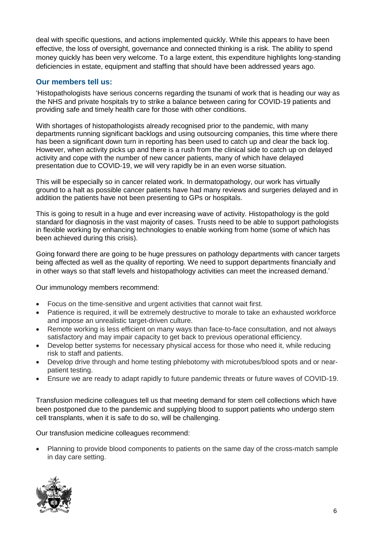deal with specific questions, and actions implemented quickly. While this appears to have been effective, the loss of oversight, governance and connected thinking is a risk. The ability to spend money quickly has been very welcome. To a large extent, this expenditure highlights long-standing deficiencies in estate, equipment and staffing that should have been addressed years ago.

#### **Our members tell us:**

'Histopathologists have serious concerns regarding the tsunami of work that is heading our way as the NHS and private hospitals try to strike a balance between caring for COVID-19 patients and providing safe and timely health care for those with other conditions.

With shortages of histopathologists already recognised prior to the pandemic, with many departments running significant backlogs and using outsourcing companies, this time where there has been a significant down turn in reporting has been used to catch up and clear the back log. However, when activity picks up and there is a rush from the clinical side to catch up on delayed activity and cope with the number of new cancer patients, many of which have delayed presentation due to COVID-19, we will very rapidly be in an even worse situation.

This will be especially so in cancer related work. In dermatopathology, our work has virtually ground to a halt as possible cancer patients have had many reviews and surgeries delayed and in addition the patients have not been presenting to GPs or hospitals.

This is going to result in a huge and ever increasing wave of activity. Histopathology is the gold standard for diagnosis in the vast majority of cases. Trusts need to be able to support pathologists in flexible working by enhancing technologies to enable working from home (some of which has been achieved during this crisis).

Going forward there are going to be huge pressures on pathology departments with cancer targets being affected as well as the quality of reporting. We need to support departments financially and in other ways so that staff levels and histopathology activities can meet the increased demand.'

Our immunology members recommend:

- Focus on the time-sensitive and urgent activities that cannot wait first.
- Patience is required, it will be extremely destructive to morale to take an exhausted workforce and impose an unrealistic target-driven culture.
- Remote working is less efficient on many ways than face-to-face consultation, and not always satisfactory and may impair capacity to get back to previous operational efficiency.
- Develop better systems for necessary physical access for those who need it, while reducing risk to staff and patients.
- Develop drive through and home testing phlebotomy with microtubes/blood spots and or nearpatient testing.
- Ensure we are ready to adapt rapidly to future pandemic threats or future waves of COVID-19.

Transfusion medicine colleagues tell us that meeting demand for stem cell collections which have been postponed due to the pandemic and supplying blood to support patients who undergo stem cell transplants, when it is safe to do so, will be challenging.

Our transfusion medicine colleagues recommend:

 Planning to provide blood components to patients on the same day of the cross-match sample in day care setting.

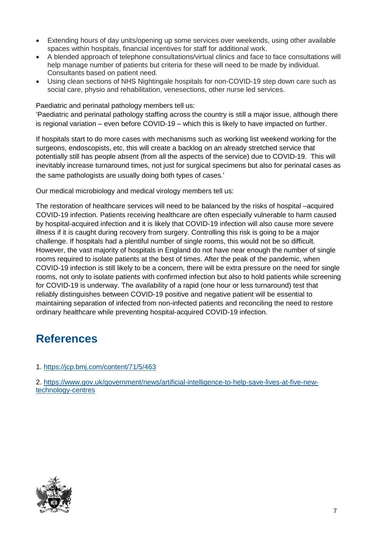- Extending hours of day units/opening up some services over weekends, using other available spaces within hospitals, financial incentives for staff for additional work.
- A blended approach of telephone consultations/virtual clinics and face to face consultations will help manage number of patients but criteria for these will need to be made by individual. Consultants based on patient need.
- Using clean sections of NHS Nightingale hospitals for non-COVID-19 step down care such as social care, physio and rehabilitation, venesections, other nurse led services.

Paediatric and perinatal pathology members tell us:

'Paediatric and perinatal pathology staffing across the country is still a major issue, although there is regional variation – even before COVID-19 – which this is likely to have impacted on further.

If hospitals start to do more cases with mechanisms such as working list weekend working for the surgeons, endoscopists, etc, this will create a backlog on an already stretched service that potentially still has people absent (from all the aspects of the service) due to COVID-19. This will inevitably increase turnaround times, not just for surgical specimens but also for perinatal cases as the same pathologists are usually doing both types of cases.'

Our medical microbiology and medical virology members tell us:

The restoration of healthcare services will need to be balanced by the risks of hospital –acquired COVID-19 infection. Patients receiving healthcare are often especially vulnerable to harm caused by hospital-acquired infection and it is likely that COVID-19 infection will also cause more severe illness if it is caught during recovery from surgery. Controlling this risk is going to be a major challenge. If hospitals had a plentiful number of single rooms, this would not be so difficult. However, the vast majority of hospitals in England do not have near enough the number of single rooms required to isolate patients at the best of times. After the peak of the pandemic, when COVID-19 infection is still likely to be a concern, there will be extra pressure on the need for single rooms, not only to isolate patients with confirmed infection but also to hold patients while screening for COVID-19 is underway. The availability of a rapid (one hour or less turnaround) test that reliably distinguishes between COVID-19 positive and negative patient will be essential to maintaining separation of infected from non-infected patients and reconciling the need to restore ordinary healthcare while preventing hospital-acquired COVID-19 infection.

### **References**

1. [https://jcp.bmj.com/content/71/5/463](https://protect-eu.mimecast.com/s/8S5rC4QolIEjq9iOwPG3?domain=jcp.bmj.com)

2. [https://www.gov.uk/government/news/artificial-intelligence-to-help-save-lives-at-five-new](https://protect-eu.mimecast.com/s/Z4_0C5QpmI3n2ptOsJ9t?domain=gov.uk)[technology-centres](https://protect-eu.mimecast.com/s/Z4_0C5QpmI3n2ptOsJ9t?domain=gov.uk)

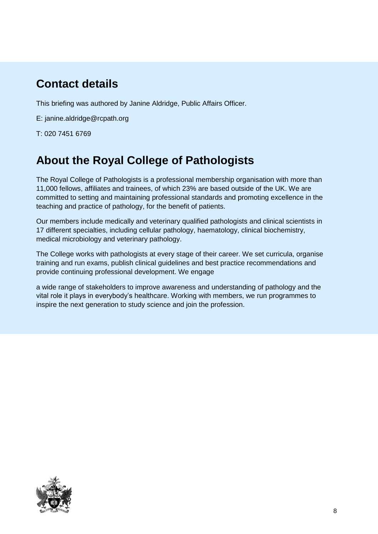# **Contact details**

This briefing was authored by Janine Aldridge, Public Affairs Officer.

E: [janine.aldridge@rcpath.org](mailto:janine.aldridge@rcpath.org)

T: 020 7451 6769

## **About the Royal College of Pathologists**

The Royal College of Pathologists is a professional membership organisation with more than 11,000 fellows, affiliates and trainees, of which 23% are based outside of the UK. We are committed to setting and maintaining professional standards and promoting excellence in the teaching and practice of pathology, for the benefit of patients.

Our members include medically and veterinary qualified pathologists and clinical scientists in 17 different specialties, including cellular pathology, haematology, clinical biochemistry, medical microbiology and veterinary pathology.

The College works with pathologists at every stage of their career. We set curricula, organise training and run exams, publish clinical guidelines and best practice recommendations and provide continuing professional development. We engage

a wide range of stakeholders to improve awareness and understanding of pathology and the vital role it plays in everybody's healthcare. Working with members, we run programmes to inspire the next generation to study science and join the profession.